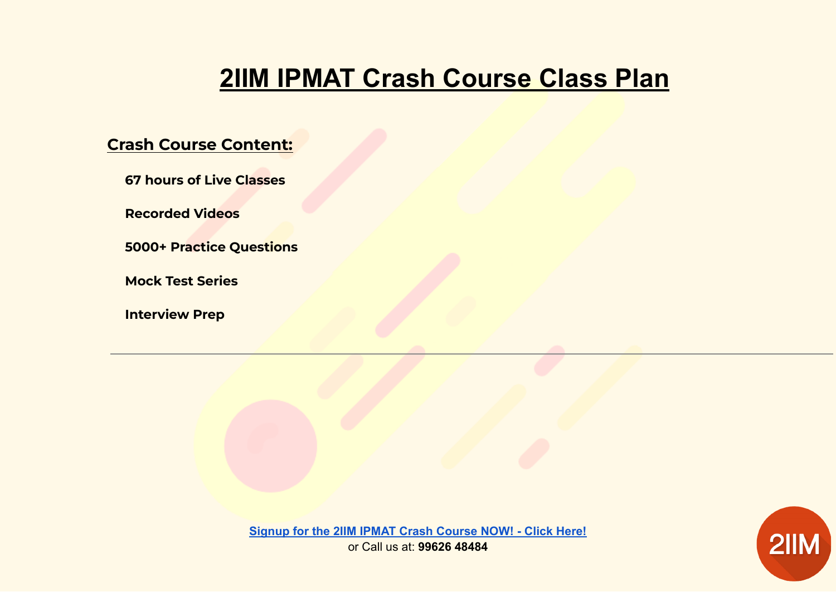# **2IIM IPMAT Crash Course Class Plan**

# **Crash Course Content:**

**67 hours of Live Classes**

**Recorded Videos**

**5000+ Practice Questions**

**Mock Test Series**

**Interview Prep**

2IIM

**[Signup for the 2IIM IPMAT Crash Course NOW! - Click Here!](https://learn.2iim.com/learn/Live-Online-Course---IPMAT-2022)** or Call us at: **99626 48484**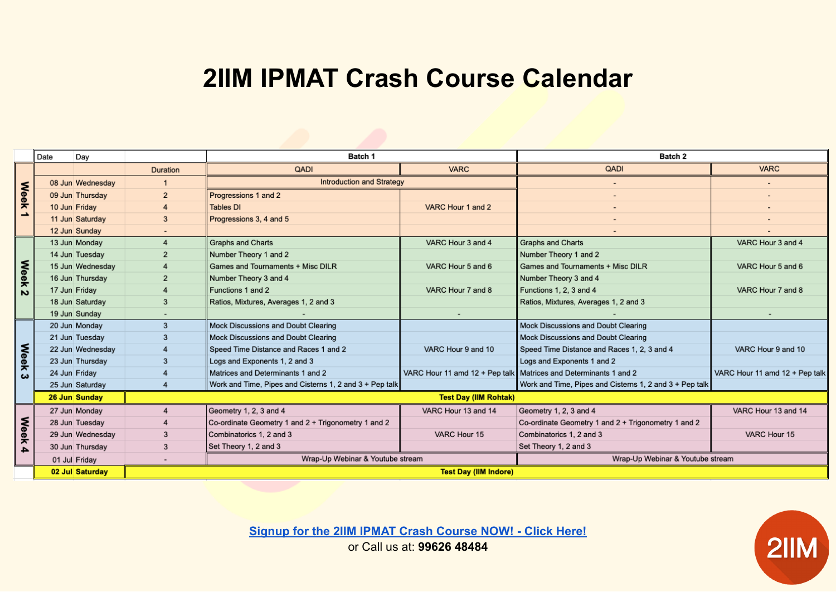# **2IIM IPMAT Crash Course Calendar**

|                  | Date | Day              |                              | Batch 1                                                 |                     | Batch 2                                                            |                                |
|------------------|------|------------------|------------------------------|---------------------------------------------------------|---------------------|--------------------------------------------------------------------|--------------------------------|
| <b>Week</b><br>∸ |      |                  | <b>Duration</b>              | QADI                                                    | <b>VARC</b>         | QADI                                                               | <b>VARC</b>                    |
|                  |      | 08 Jun Wednesday |                              | <b>Introduction and Strategy</b>                        |                     | $\overline{\phantom{a}}$                                           |                                |
|                  |      | 09 Jun Thursday  | $\overline{2}$               | Progressions 1 and 2                                    |                     |                                                                    |                                |
|                  |      | 10 Jun Friday    | $\overline{4}$               | <b>Tables DI</b>                                        | VARC Hour 1 and 2   | $\overline{\phantom{a}}$                                           |                                |
|                  |      | 11 Jun Saturday  | 3                            | Progressions 3, 4 and 5                                 |                     | ۰                                                                  |                                |
|                  |      | 12 Jun Sunday    |                              |                                                         |                     |                                                                    |                                |
| <b>Week</b><br>N |      | 13 Jun Monday    | $\overline{4}$               | <b>Graphs and Charts</b>                                | VARC Hour 3 and 4   | <b>Graphs and Charts</b>                                           | VARC Hour 3 and 4              |
|                  |      | 14 Jun Tuesday   | $\overline{2}$               | Number Theory 1 and 2                                   |                     | Number Theory 1 and 2                                              |                                |
|                  |      | 15 Jun Wednesday |                              | Games and Tournaments + Misc DILR                       | VARC Hour 5 and 6   | Games and Tournaments + Misc DILR                                  | VARC Hour 5 and 6              |
|                  |      | 16 Jun Thursday  | $\overline{2}$               | Number Theory 3 and 4                                   |                     | Number Theory 3 and 4                                              |                                |
|                  |      | 17 Jun Friday    |                              | Functions 1 and 2                                       | VARC Hour 7 and 8   | Functions 1, 2, 3 and 4                                            | VARC Hour 7 and 8              |
|                  |      | 18 Jun Saturday  | 3                            | Ratios, Mixtures, Averages 1, 2 and 3                   |                     | Ratios, Mixtures, Averages 1, 2 and 3                              |                                |
|                  |      | 19 Jun Sunday    |                              |                                                         |                     |                                                                    |                                |
|                  |      | 20 Jun Monday    | 3                            | <b>Mock Discussions and Doubt Clearing</b>              |                     | Mock Discussions and Doubt Clearing                                |                                |
|                  |      | 21 Jun Tuesday   | 3                            | Mock Discussions and Doubt Clearing                     |                     | Mock Discussions and Doubt Clearing                                |                                |
|                  |      | 22 Jun Wednesday | $\overline{4}$               | Speed Time Distance and Races 1 and 2                   | VARC Hour 9 and 10  | Speed Time Distance and Races 1, 2, 3 and 4                        | VARC Hour 9 and 10             |
| <b>Week</b><br>ఴ |      | 23 Jun Thursday  | 3                            | Logs and Exponents 1, 2 and 3                           |                     | Logs and Exponents 1 and 2                                         |                                |
|                  |      | 24 Jun Friday    |                              | Matrices and Determinants 1 and 2                       |                     | VARC Hour 11 amd 12 + Pep talk   Matrices and Determinants 1 and 2 | VARC Hour 11 amd 12 + Pep talk |
|                  |      | 25 Jun Saturday  | $\boldsymbol{\Lambda}$       | Work and Time, Pipes and Cisterns 1, 2 and 3 + Pep talk |                     | Work and Time, Pipes and Cisterns 1, 2 and 3 + Pep talk            |                                |
|                  |      | 26 Jun Sunday    | <b>Test Day (IIM Rohtak)</b> |                                                         |                     |                                                                    |                                |
| <b>Week</b><br>4 |      | 27 Jun Monday    |                              | Geometry 1, 2, 3 and 4                                  | VARC Hour 13 and 14 | Geometry 1, 2, 3 and 4                                             | VARC Hour 13 and 14            |
|                  |      | 28 Jun Tuesday   |                              | Co-ordinate Geometry 1 and 2 + Trigonometry 1 and 2     |                     | Co-ordinate Geometry 1 and 2 + Trigonometry 1 and 2                |                                |
|                  |      | 29 Jun Wednesday | 3                            | Combinatorics 1, 2 and 3                                | VARC Hour 15        | Combinatorics 1, 2 and 3                                           | VARC Hour 15                   |
|                  |      | 30 Jun Thursday  | 3                            | Set Theory 1, 2 and 3                                   |                     | Set Theory 1, 2 and 3                                              |                                |
|                  |      | 01 Jul Friday    |                              | Wrap-Up Webinar & Youtube stream                        |                     | Wrap-Up Webinar & Youtube stream                                   |                                |
|                  |      | 02 Jul Saturday  | <b>Test Day (IIM Indore)</b> |                                                         |                     |                                                                    |                                |

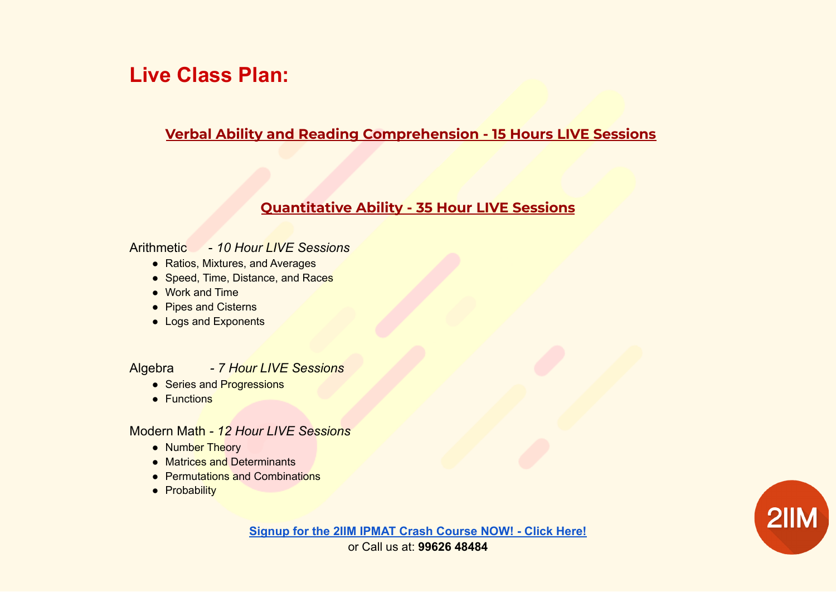# **Live Class Plan:**

### **Verbal Ability and Reading Comprehension - 15 Hours LIVE Sessions**

# **Quantitative Ability - 35 Hour LIVE Sessions**

#### Arithmetic - *10 Hour LIVE Sessions*

- Ratios, Mixtures, and Averages
- Speed, Time, Distance, and Races
- Work and Time
- Pipes and Cisterns
- Logs and Exponents

#### Algebra *- 7 Hour LIVE Sessions*

- Series and Progressions
- Functions

#### Modern Math *- 12 Hour LIVE Sessions*

- Number Theory
- Matrices and Determinants
- Permutations and Combinations
- Probability